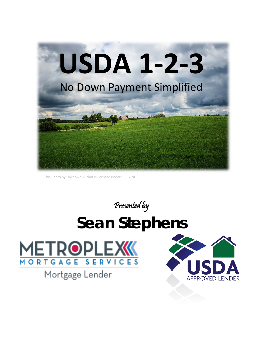

[This Photo](http://xltphoto.net/2014/01/17/rural-landscape) by Unknown Author is licensed under [CC BY-NC](https://creativecommons.org/licenses/by-nc/3.0/)

Presented by

# **Sean Stephens**



Mortgage Lender

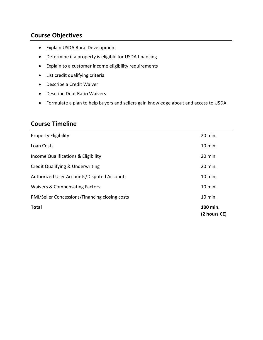# **Course Objectives**

- Explain USDA Rural Development
- Determine if a property is eligible for USDA financing
- Explain to a customer income eligibility requirements
- List credit qualifying criteria
- Describe a Credit Waiver
- Describe Debt Ratio Waivers
- Formulate a plan to help buyers and sellers gain knowledge about and access to USDA.

# **Course Timeline**

| <b>Property Eligibility</b>                    | 20 min.                  |
|------------------------------------------------|--------------------------|
| Loan Costs                                     | 10 min.                  |
| Income Qualifications & Eligibility            | 20 min.                  |
| Credit Qualifying & Underwriting               | 20 min.                  |
| Authorized User Accounts/Disputed Accounts     | 10 min.                  |
| <b>Waivers &amp; Compensating Factors</b>      | 10 min.                  |
| PMI/Seller Concessions/Financing closing costs | 10 min.                  |
| <b>Total</b>                                   | 100 min.<br>(2 hours CE) |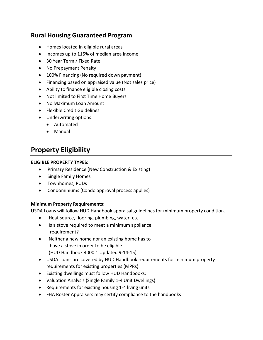# **Rural Housing Guaranteed Program**

- Homes located in eligible rural areas
- Incomes up to 115% of median area income
- 30 Year Term / Fixed Rate
- No Prepayment Penalty
- 100% Financing (No required down payment)
- Financing based on appraised value (Not sales price)
- Ability to finance eligible closing costs
- Not limited to First Time Home Buyers
- No Maximum Loan Amount
- Flexible Credit Guidelines
- Underwriting options:
	- Automated
	- Manual

# **Property Eligibility**

#### **ELIGIBLE PROPERTY TYPES:**

- Primary Residence (New Construction & Existing)
- Single Family Homes
- Townhomes, PUDs
- Condominiums (Condo approval process applies)

#### **Minimum Property Requirements:**

USDA Loans will follow HUD Handbook appraisal guidelines for minimum property condition.

- Heat source, flooring, plumbing, water, etc.
- Is a stove required to meet a minimum appliance requirement?
- Neither a new home nor an existing home has to have a stove in order to be eligible. (HUD Handbook 4000.1 Updated 9-14-15)
- USDA Loans are covered by HUD Handbook requirements for minimum property requirements for existing properties (MPRs)
- Existing dwellings must follow HUD Handbooks:
- Valuation Analysis (Single Family 1-4 Unit Dwellings)
- Requirements for existing housing 1-4 living units
- FHA Roster Appraisers may certify compliance to the handbooks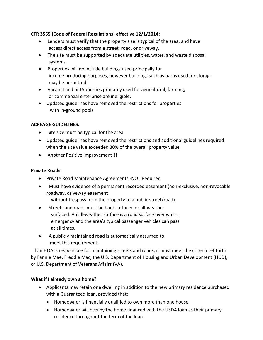#### **CFR 3555 (Code of Federal Regulations) effective 12/1/2014:**

- Lenders must verify that the property size is typical of the area, and have access direct access from a street, road, or driveway.
- The site must be supported by adequate utilities, water, and waste disposal systems.
- Properties will no include buildings used principally for income producing purposes, however buildings such as barns used for storage may be permitted.
- Vacant Land or Properties primarily used for agricultural, farming, or commercial enterprise are ineligible.
- Updated guidelines have removed the restrictions for properties with in-ground pools.

#### **ACREAGE GUIDELINES:**

- Site size must be typical for the area
- Updated guidelines have removed the restrictions and additional guidelines required when the site value exceeded 30% of the overall property value.
- Another Positive Improvement!!!

#### **Private Roads:**

- Private Road Maintenance Agreements -NOT Required
- Must have evidence of a permanent recorded easement (non-exclusive, non-revocable roadway, driveway easement
	- without trespass from the property to a public street/road)
- Streets and roads must be hard surfaced or all-weather surfaced. An all-weather surface is a road surface over which emergency and the area's typical passenger vehicles can pass at all times.
- A publicly maintained road is automatically assumed to meet this requirement.

 If an HOA is responsible for maintaining streets and roads, it must meet the criteria set forth by Fannie Mae, Freddie Mac, the U.S. Department of Housing and Urban Development (HUD), or U.S. Department of Veterans Affairs (VA).

#### **What if I already own a home?**

- Applicants may retain one dwelling in addition to the new primary residence purchased with a Guaranteed loan, provided that:
	- Homeowner is financially qualified to own more than one house
	- Homeowner will occupy the home financed with the USDA loan as their primary residence throughout the term of the loan.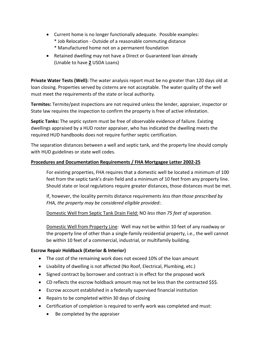- Current home is no longer functionally adequate. Possible examples:
	- \* Job Relocation Outside of a reasonable commuting distance
	- \* Manufactured home not on a permanent foundation
- Retained dwelling may not have a Direct or Guaranteed loan already (Unable to have **2** USDA Loans)

**Private Water Tests (Well):** The water analysis report must be no greater than 120 days old at loan closing. Properties served by cisterns are not acceptable. The water quality of the well must meet the requirements of the state or local authority.

**Termites:** Termite/pest inspections are not required unless the lender, appraiser, inspector or State law requires the inspection to confirm the property is free of active infestation.

**Septic Tanks:** The septic system must be free of observable evidence of failure. Existing dwellings appraised by a HUD roster appraiser, who has indicated the dwelling meets the required HUD handbooks does not require further septic certification.

The separation distances between a well and septic tank, and the property line should comply with HUD guidelines or state well codes.

#### **Procedures and Documentation Requirements / FHA Mortgagee Letter 2002-25**

For existing properties, FHA requires that a domestic well be located a minimum of 100 feet from the septic tank's drain field and a minimum of 10 feet from any property line. Should state or local regulations require greater distances, those distances must be met.

If, however, the locality permits distance requirements *less than those prescribed by FHA, the property may be considered eligible provided:.* 

#### Domestic Well from Septic Tank Drain Field: NO *less than 75 feet of separation.*

Domestic Well from Property Line: Well may not be within 10 feet of any roadway or the property line of other than a single-family residential property, i.e., the well cannot be within 10 feet of a commercial, industrial, or multifamily building.

#### **Escrow Repair Holdback (Exterior & Interior)**

- The cost of the remaining work does not exceed 10% of the loan amount
- Livability of dwelling is not affected (No Roof, Electrical, Plumbing, etc.)
- Signed contract by borrower and contract is in effect for the proposed work
- CD reflects the escrow holdback amount may not be less than the contracted \$\$\$.
- Escrow account established in a federally supervised financial institution
- Repairs to be completed within 30 days of closing
- Certification of completion is required to verify work was completed and must:
	- Be completed by the appraiser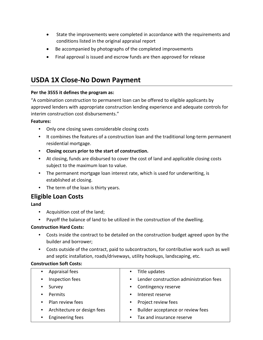- State the improvements were completed in accordance with the requirements and conditions listed in the original appraisal report
- Be accompanied by photographs of the completed improvements
- Final approval is issued and escrow funds are then approved for release

# **USDA 1X Close-No Down Payment**

#### **Per the 3555 it defines the program as:**

"A combination construction to permanent loan can be offered to eligible applicants by approved lenders with appropriate construction lending experience and adequate controls for interim construction cost disbursements."

#### **Features:**

- Only one closing saves considerable closing costs
- It combines the features of a construction loan and the traditional long-term permanent residential mortgage.
- **Closing occurs prior to the start of construction.**
- At closing, funds are disbursed to cover the cost of land and applicable closing costs subject to the maximum loan to value.
- The permanent mortgage loan interest rate, which is used for underwriting, is established at closing.
- The term of the loan is thirty years.

# **Eligible Loan Costs**

**Land**

- Acquisition cost of the land;
- Payoff the balance of land to be utilized in the construction of the dwelling.

#### **Construction Hard Costs:**

- Costs inside the contract to be detailed on the construction budget agreed upon by the builder and borrower;
- Costs outside of the contract, paid to subcontractors, for contributive work such as well and septic installation, roads/driveways, utility hookups, landscaping, etc.

#### **Construction Soft Costs:**

| Appraisal fees              | Title updates                           |
|-----------------------------|-----------------------------------------|
| $\bullet$                   | $\bullet$                               |
| Inspection fees             | Lender construction administration fees |
| $\bullet$                   | $\bullet$                               |
| Survey                      | Contingency reserve<br>$\bullet$        |
| Permits                     | Interest reserve                        |
| $\bullet$                   | $\bullet$                               |
| Plan review fees            | Project review fees                     |
| $\bullet$                   | $\bullet$                               |
| Architecture or design fees | Builder acceptance or review fees       |
| $\bullet$                   | $\bullet$                               |
| <b>Engineering fees</b>     | Tax and insurance reserve<br>$\bullet$  |
|                             |                                         |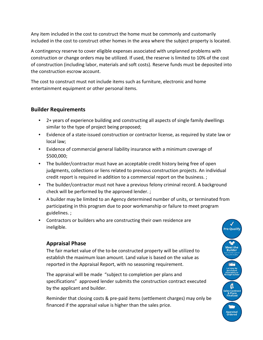Any item included in the cost to construct the home must be commonly and customarily included in the cost to construct other homes in the area where the subject property is located.

A contingency reserve to cover eligible expenses associated with unplanned problems with construction or change orders may be utilized. If used, the reserve is limited to 10% of the cost of construction (including labor, materials and soft costs). Reserve funds must be deposited into the construction escrow account.

The cost to construct must not include items such as furniture, electronic and home entertainment equipment or other personal items.

#### **Builder Requirements**

- 2+ years of experience building and constructing all aspects of single family dwellings similar to the type of project being proposed;
- Evidence of a state-issued construction or contractor license, as required by state law or local law;
- Evidence of commercial general liability insurance with a minimum coverage of \$500,000;
- The builder/contractor must have an acceptable credit history being free of open judgments, collections or liens related to previous construction projects. An individual credit report is required in addition to a commercial report on the business. ;
- The builder/contractor must not have a previous felony criminal record. A background check will be performed by the approved lender. ;
- A builder may be limited to an Agency determined number of units, or terminated from participating in this program due to poor workmanship or failure to meet program guidelines. ;
- Contractors or builders who are constructing their own residence are ineligible.

# **Appraisal Phase**

The fair market value of the to-be constructed property will be utilized to establish the maximum loan amount. Land value is based on the value as reported in the Appraisal Report, with no seasoning requirement.

The appraisal will be made "subject to completion per plans and specifications" approved lender submits the construction contract executed by the applicant and builder.

Reminder that closing costs & pre-paid items (settlement charges) may only be financed if the appraisal value is higher than the sales price.

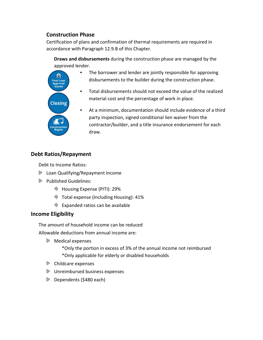# **Construction Phase**

Certification of plans and confirmation of thermal requirements are required in accordance with Paragraph 12.9.B of this Chapter.

**Draws and disbursements** during the construction phase are managed by the approved lender.

- $\mathbf{f}$ **Final Loan** Approval<br>Issued **Closing**
- The borrower and lender are jointly responsible for approving disbursements to the builder during the construction phase.
- Total disbursements should not exceed the value of the realized material cost and the percentage of work in place.
- At a minimum, documentation should include evidence of a third party inspection, signed conditional lien waiver from the contractor/builder, and a title insurance endorsement for each draw.

# **Debt Ratios/Repayment**

Debt to Income Ratios:

- **▶ Loan Qualifying/Repayment Income**
- **Published Guidelines:** 
	- **W** Housing Expense (PITI): 29%
	- **Total expense (Including Housing): 41%**
	- $\triangle$  Expanded ratios can be available

# **Income Eligibility**

The amount of household income can be reduced

Allowable deductions from annual income are:

- **Medical expenses** 
	- \*Only the portion in excess of 3% of the annual income not reimbursed \*Only applicable for elderly or disabled households
- **EX** Childcare expenses
- **D** Unreimbursed business expenses
- Dependents (\$480 each)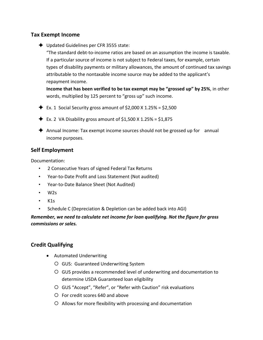# **Tax Exempt Income**

◆ Updated Guidelines per CFR 3555 state:

"The standard debt-to-income ratios are based on an assumption the income is taxable. If a particular source of income is not subject to Federal taxes, for example, certain types of disability payments or military allowances, the amount of continued tax savings attributable to the nontaxable income source may be added to the applicant's repayment income.

**Income that has been verified to be tax exempt may be "grossed up" by 25%**, in other words, multiplied by 125 percent to "gross up" such income.

- $\blacklozenge$  Ex. 1 Social Security gross amount of \$2,000 X 1.25% = \$2,500
- $\blacklozenge$  Ex. 2 VA Disability gross amount of \$1,500 X 1.25% = \$1,875
- Annual Income: Tax exempt income sources should not be grossed up for annual income purposes.

# **Self Employment**

Documentation:

- 2 Consecutive Years of signed Federal Tax Returns
- Year-to-Date Profit and Loss Statement (Not audited)
- Year-to-Date Balance Sheet (Not Audited)
- W2s
- $\cdot$  K<sub>1s</sub>
- Schedule C (Depreciation & Depletion can be added back into AGI)

*Remember, we need to calculate net income for loan qualifying. Not the figure for gross commissions or sales.*

# **Credit Qualifying**

- Automated Underwriting
	- GUS: Guaranteed Underwriting System
	- GUS provides a recommended level of underwriting and documentation to determine USDA Guaranteed loan eligibility
	- GUS "Accept", "Refer", or "Refer with Caution" risk evaluations
	- For credit scores 640 and above
	- Allows for more flexibility with processing and documentation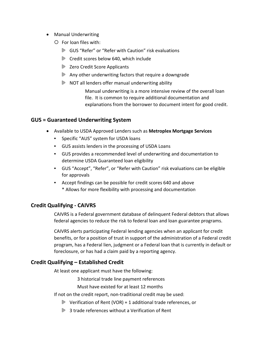- Manual Underwriting
	- For loan files with:
		- GUS "Refer" or "Refer with Caution" risk evaluations
		- ▶ Credit scores below 640, which include
		- **Zero Credit Score Applicants**
		- Any other underwriting factors that require a downgrade
		- $\triangleright$  NOT all lenders offer manual underwriting ability

Manual underwriting is a more intensive review of the overall loan file. It is common to require additional documentation and explanations from the borrower to document intent for good credit.

# **GUS = Guaranteed Underwriting System**

- Available to USDA Approved Lenders such as **Metroplex Mortgage Services**
	- Specific "AUS" system for USDA loans
	- GUS assists lenders in the processing of USDA Loans
	- GUS provides a recommended level of underwriting and documentation to determine USDA Guaranteed loan eligibility
	- GUS "Accept", "Refer", or "Refer with Caution" risk evaluations can be eligible for approvals
	- Accept findings can be possible for credit scores 640 and above \* Allows for more flexibility with processing and documentation

# **Credit Qualifying - CAIVRS**

CAIVRS is a Federal government database of delinquent Federal debtors that allows federal agencies to reduce the risk to federal loan and loan guarantee programs.

CAIVRS alerts participating Federal lending agencies when an applicant for credit benefits, or for a position of trust in support of the administration of a Federal credit program, has a Federal lien, judgment or a Federal loan that is currently in default or foreclosure, or has had a claim paid by a reporting agency.

# **Credit Qualifying – Established Credit**

At least one applicant must have the following:

3 historical trade line payment references

Must have existed for at least 12 months

- If not on the credit report, non-traditional credit may be used:
	- $\triangleright$  Verification of Rent (VOR) + 1 additional trade references, or
	- **3 trade references without a Verification of Rent**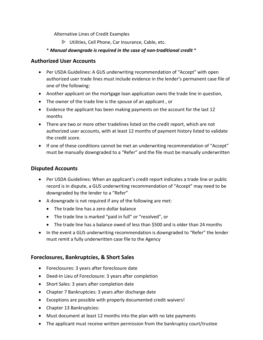Alternative Lines of Credit Examples

Utilities, Cell Phone, Car Insurance, Cable, etc.

#### \* *Manual downgrade is required in the case of non-traditional credit* \*

#### **Authorized User Accounts**

- Per USDA Guidelines: A GUS underwriting recommendation of "Accept" with open authorized user trade lines must include evidence in the lender's permanent case file of one of the following:
- Another applicant on the mortgage loan application owns the trade line in question,
- The owner of the trade line is the spouse of an applicant , or
- Evidence the applicant has been making payments on the account for the last 12 months
- There are two or more other tradelines listed on the credit report, which are not authorized user accounts, with at least 12 months of payment history listed to validate the credit score.
- If one of these conditions cannot be met an underwriting recommendation of "Accept" must be manually downgraded to a "Refer" and the file must be manually underwritten

#### **Disputed Accounts**

- Per USDA Guidelines: When an applicant's credit report indicates a trade line or public record is in dispute, a GUS underwriting recommendation of "Accept" may need to be downgraded by the lender to a "Refer"
- A downgrade is not required if any of the following are met:
	- The trade line has a zero dollar balance
	- The trade line is marked "paid in full" or "resolved", or
	- The trade line has a balance owed of less than \$500 and is older than 24 months
- In the event a GUS underwriting recommendation is downgraded to "Refer" the lender must remit a fully underwritten case file to the Agency

#### **Foreclosures, Bankruptcies, & Short Sales**

- Foreclosures: 3 years after foreclosure date
- Deed-In Lieu of Foreclosure: 3 years after completion
- Short Sales: 3 years after completion date
- Chapter 7 Bankruptcies: 3 years after discharge date
- Exceptions are possible with properly documented credit waivers!
- Chapter 13 Bankruptcies:
- Must document at least 12 months into the plan with no late payments
- The applicant must receive written permission from the bankruptcy court/trustee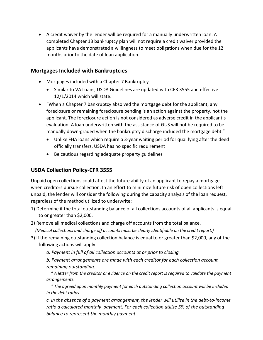• A credit waiver by the lender will be required for a manually underwritten loan. A completed Chapter 13 bankruptcy plan will not require a credit waiver provided the applicants have demonstrated a willingness to meet obligations when due for the 12 months prior to the date of loan application.

## **Mortgages Included with Bankruptcies**

- Mortgages included with a Chapter 7 Bankruptcy
	- Similar to VA Loans, USDA Guidelines are updated with CFR 3555 and effective 12/1/2014 which will state:
- "When a Chapter 7 bankruptcy absolved the mortgage debt for the applicant, any foreclosure or remaining foreclosure pending is an action against the property, not the applicant. The foreclosure action is not considered as adverse credit in the applicant's evaluation. A loan underwritten with the assistance of GUS will not be required to be manually down-graded when the bankruptcy discharge included the mortgage debt."
	- Unlike FHA loans which require a 3-year waiting period for qualifying after the deed officially transfers, USDA has no specific requirement
	- Be cautious regarding adequate property guidelines

# **USDA Collection Policy-CFR 3555**

Unpaid open collections could affect the future ability of an applicant to repay a mortgage when creditors pursue collection. In an effort to minimize future risk of open collections left unpaid, the lender will consider the following during the capacity analysis of the loan request, regardless of the method utilized to underwrite:

- 1) Determine if the total outstanding balance of all collections accounts of all applicants is equal to or greater than \$2,000.
- 2) Remove all medical collections and charge off accounts from the total balance.
	- *(Medical collections and charge off accounts must be clearly identifiable on the credit report.)*
- 3) If the remaining outstanding collection balance is equal to or greater than \$2,000, any of the following actions will apply:

*a. Payment in full of all collection accounts at or prior to closing.*

*b. Payment arrangements are made with each creditor for each collection account remaining outstanding.* 

 *\* A letter from the creditor or evidence on the credit report is required to validate the payment arrangements.* 

 *\* The agreed upon monthly payment for each outstanding collection account will be included in the debt ratios*

*c. In the absence of a payment arrangement, the lender will utilize in the debt-to-income ratio a calculated monthly payment. For each collection utilize 5% of the outstanding balance to represent the monthly payment.*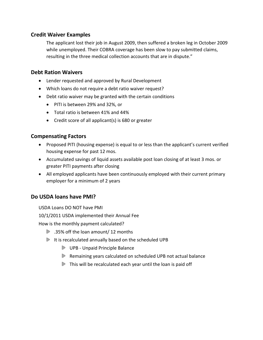# **Credit Waiver Examples**

The applicant lost their job in August 2009, then suffered a broken leg in October 2009 while unemployed. Their COBRA coverage has been slow to pay submitted claims, resulting in the three medical collection accounts that are in dispute."

# **Debt Ration Waivers**

- Lender requested and approved by Rural Development
- Which loans do not require a debt ratio waiver request?
- Debt ratio waiver may be granted with the certain conditions
	- PITI is between 29% and 32%, or
	- Total ratio is between 41% and 44%
	- Credit score of all applicant(s) is 680 or greater

# **Compensating Factors**

- Proposed PITI (housing expense) is equal to or less than the applicant's current verified housing expense for past 12 mos.
- Accumulated savings of liquid assets available post loan closing of at least 3 mos. or greater PITI payments after closing
- All employed applicants have been continuously employed with their current primary employer for a minimum of 2 years

# **Do USDA loans have PMI?**

USDA Loans DO NOT have PMI

10/1/2011 USDA implemented their Annual Fee

How is the monthly payment calculated?

- .35% off the loan amount/ 12 months
- It is recalculated annually based on the scheduled UPB
	- UPB Unpaid Principle Balance
	- Remaining years calculated on scheduled UPB not actual balance
	- $\triangleright$  This will be recalculated each year until the loan is paid off